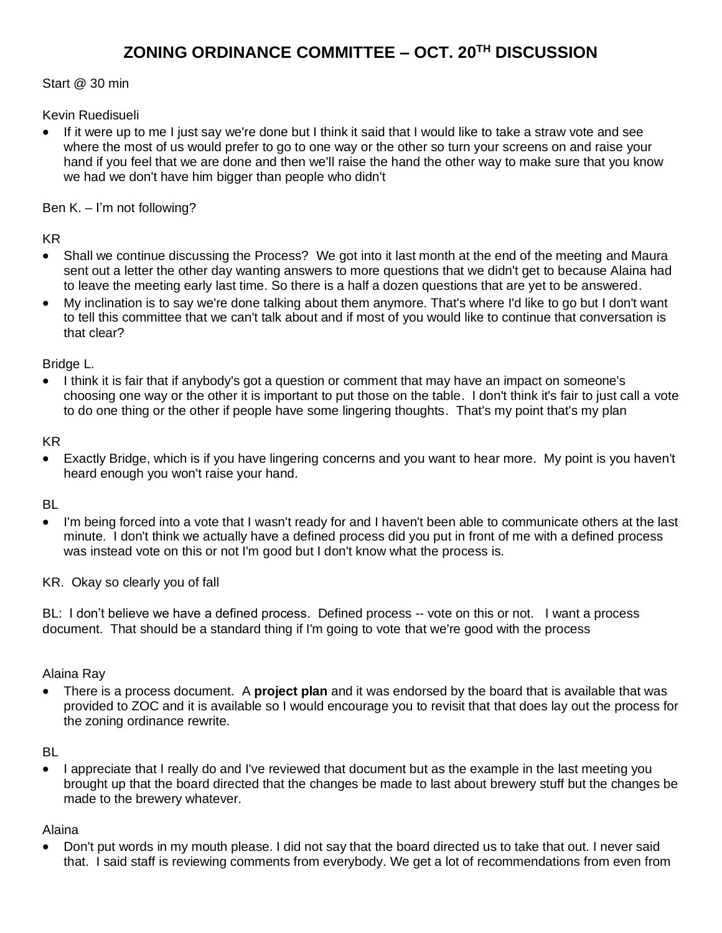# **ZONING ORDINANCE COMMITTEE – OCT. 20TH DISCUSSION**

Start @ 30 min

Kevin Ruedisueli

• If it were up to me I just say we're done but I think it said that I would like to take a straw vote and see where the most of us would prefer to go to one way or the other so turn your screens on and raise your hand if you feel that we are done and then we'll raise the hand the other way to make sure that you know we had we don't have him bigger than people who didn't

Ben K. – I'm not following?

#### KR

- Shall we continue discussing the Process? We got into it last month at the end of the meeting and Maura sent out a letter the other day wanting answers to more questions that we didn't get to because Alaina had to leave the meeting early last time. So there is a half a dozen questions that are yet to be answered.
- My inclination is to say we're done talking about them anymore. That's where I'd like to go but I don't want to tell this committee that we can't talk about and if most of you would like to continue that conversation is that clear?

Bridge L.

• I think it is fair that if anybody's got a question or comment that may have an impact on someone's choosing one way or the other it is important to put those on the table. I don't think it's fair to just call a vote to do one thing or the other if people have some lingering thoughts. That's my point that's my plan

#### KR

• Exactly Bridge, which is if you have lingering concerns and you want to hear more. My point is you haven't heard enough you won't raise your hand.

#### BL

• I'm being forced into a vote that I wasn't ready for and I haven't been able to communicate others at the last minute. I don't think we actually have a defined process did you put in front of me with a defined process was instead vote on this or not I'm good but I don't know what the process is.

KR. Okay so clearly you of fall

BL: I don't believe we have a defined process. Defined process -- vote on this or not. I want a process document. That should be a standard thing if I'm going to vote that we're good with the process

#### Alaina Ray

• There is a process document. A **project plan** and it was endorsed by the board that is available that was provided to ZOC and it is available so I would encourage you to revisit that that does lay out the process for the zoning ordinance rewrite.

#### BL

• I appreciate that I really do and I've reviewed that document but as the example in the last meeting you brought up that the board directed that the changes be made to last about brewery stuff but the changes be made to the brewery whatever.

#### Alaina

• Don't put words in my mouth please. I did not say that the board directed us to take that out. I never said that. I said staff is reviewing comments from everybody. We get a lot of recommendations from even from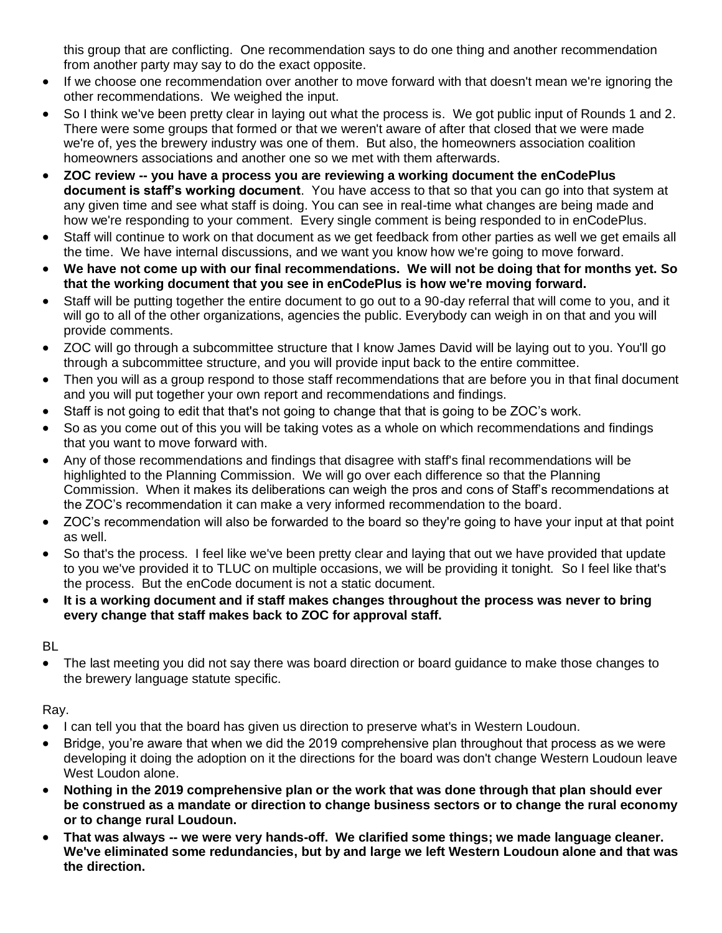this group that are conflicting. One recommendation says to do one thing and another recommendation from another party may say to do the exact opposite.

- If we choose one recommendation over another to move forward with that doesn't mean we're ignoring the other recommendations. We weighed the input.
- So I think we've been pretty clear in laying out what the process is. We got public input of Rounds 1 and 2. There were some groups that formed or that we weren't aware of after that closed that we were made we're of, yes the brewery industry was one of them. But also, the homeowners association coalition homeowners associations and another one so we met with them afterwards.
- **ZOC review -- you have a process you are reviewing a working document the enCodePlus document is staff's working document**. You have access to that so that you can go into that system at any given time and see what staff is doing. You can see in real-time what changes are being made and how we're responding to your comment. Every single comment is being responded to in enCodePlus.
- Staff will continue to work on that document as we get feedback from other parties as well we get emails all the time. We have internal discussions, and we want you know how we're going to move forward.
- **We have not come up with our final recommendations. We will not be doing that for months yet. So that the working document that you see in enCodePlus is how we're moving forward.**
- Staff will be putting together the entire document to go out to a 90-day referral that will come to you, and it will go to all of the other organizations, agencies the public. Everybody can weigh in on that and you will provide comments.
- ZOC will go through a subcommittee structure that I know James David will be laying out to you. You'll go through a subcommittee structure, and you will provide input back to the entire committee.
- Then you will as a group respond to those staff recommendations that are before you in that final document and you will put together your own report and recommendations and findings.
- Staff is not going to edit that that's not going to change that that is going to be ZOC's work.
- So as you come out of this you will be taking votes as a whole on which recommendations and findings that you want to move forward with.
- Any of those recommendations and findings that disagree with staff's final recommendations will be highlighted to the Planning Commission. We will go over each difference so that the Planning Commission. When it makes its deliberations can weigh the pros and cons of Staff's recommendations at the ZOC's recommendation it can make a very informed recommendation to the board.
- ZOC's recommendation will also be forwarded to the board so they're going to have your input at that point as well.
- So that's the process. I feel like we've been pretty clear and laying that out we have provided that update to you we've provided it to TLUC on multiple occasions, we will be providing it tonight. So I feel like that's the process. But the enCode document is not a static document.
- **It is a working document and if staff makes changes throughout the process was never to bring every change that staff makes back to ZOC for approval staff.**

#### BL

• The last meeting you did not say there was board direction or board guidance to make those changes to the brewery language statute specific.

## Ray.

- I can tell you that the board has given us direction to preserve what's in Western Loudoun.
- Bridge, you're aware that when we did the 2019 comprehensive plan throughout that process as we were developing it doing the adoption on it the directions for the board was don't change Western Loudoun leave West Loudon alone.
- **Nothing in the 2019 comprehensive plan or the work that was done through that plan should ever be construed as a mandate or direction to change business sectors or to change the rural economy or to change rural Loudoun.**
- **That was always -- we were very hands-off. We clarified some things; we made language cleaner. We've eliminated some redundancies, but by and large we left Western Loudoun alone and that was the direction.**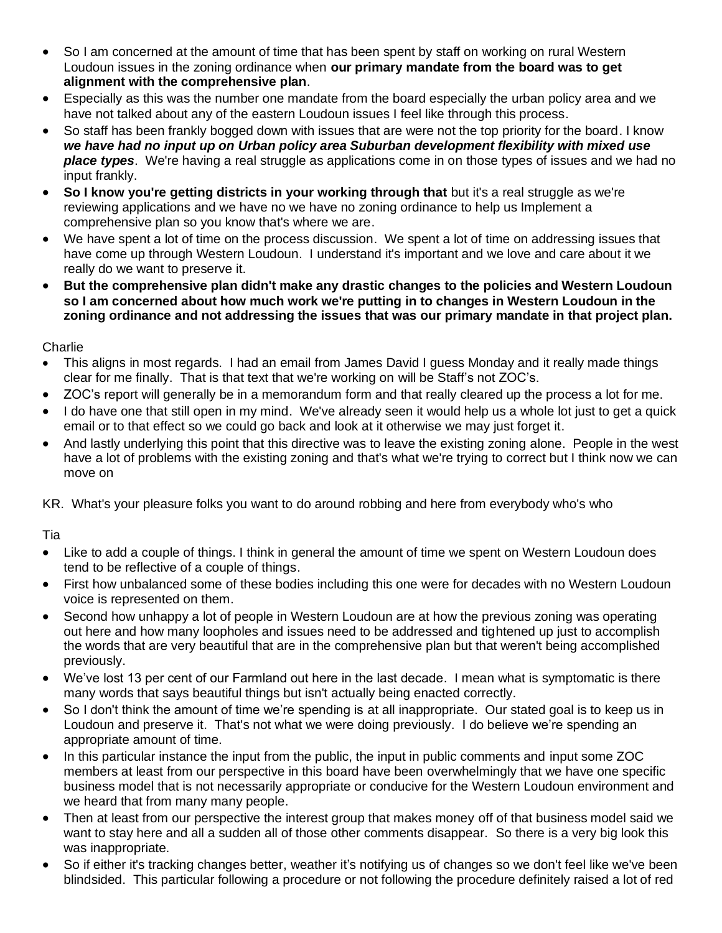- So I am concerned at the amount of time that has been spent by staff on working on rural Western Loudoun issues in the zoning ordinance when **our primary mandate from the board was to get alignment with the comprehensive plan**.
- Especially as this was the number one mandate from the board especially the urban policy area and we have not talked about any of the eastern Loudoun issues I feel like through this process.
- So staff has been frankly bogged down with issues that are were not the top priority for the board. I know *we have had no input up on Urban policy area Suburban development flexibility with mixed use place types*. We're having a real struggle as applications come in on those types of issues and we had no input frankly.
- **So I know you're getting districts in your working through that** but it's a real struggle as we're reviewing applications and we have no we have no zoning ordinance to help us Implement a comprehensive plan so you know that's where we are.
- We have spent a lot of time on the process discussion. We spent a lot of time on addressing issues that have come up through Western Loudoun. I understand it's important and we love and care about it we really do we want to preserve it.
- **But the comprehensive plan didn't make any drastic changes to the policies and Western Loudoun so I am concerned about how much work we're putting in to changes in Western Loudoun in the zoning ordinance and not addressing the issues that was our primary mandate in that project plan.**

#### **Charlie**

- This aligns in most regards. I had an email from James David I guess Monday and it really made things clear for me finally. That is that text that we're working on will be Staff's not ZOC's.
- ZOC's report will generally be in a memorandum form and that really cleared up the process a lot for me.
- I do have one that still open in my mind. We've already seen it would help us a whole lot just to get a quick email or to that effect so we could go back and look at it otherwise we may just forget it.
- And lastly underlying this point that this directive was to leave the existing zoning alone. People in the west have a lot of problems with the existing zoning and that's what we're trying to correct but I think now we can move on

KR. What's your pleasure folks you want to do around robbing and here from everybody who's who

#### Tia

- Like to add a couple of things. I think in general the amount of time we spent on Western Loudoun does tend to be reflective of a couple of things.
- First how unbalanced some of these bodies including this one were for decades with no Western Loudoun voice is represented on them.
- Second how unhappy a lot of people in Western Loudoun are at how the previous zoning was operating out here and how many loopholes and issues need to be addressed and tightened up just to accomplish the words that are very beautiful that are in the comprehensive plan but that weren't being accomplished previously.
- We've lost 13 per cent of our Farmland out here in the last decade. I mean what is symptomatic is there many words that says beautiful things but isn't actually being enacted correctly.
- So I don't think the amount of time we're spending is at all inappropriate. Our stated goal is to keep us in Loudoun and preserve it. That's not what we were doing previously. I do believe we're spending an appropriate amount of time.
- In this particular instance the input from the public, the input in public comments and input some ZOC members at least from our perspective in this board have been overwhelmingly that we have one specific business model that is not necessarily appropriate or conducive for the Western Loudoun environment and we heard that from many many people.
- Then at least from our perspective the interest group that makes money off of that business model said we want to stay here and all a sudden all of those other comments disappear. So there is a very big look this was inappropriate.
- So if either it's tracking changes better, weather it's notifying us of changes so we don't feel like we've been blindsided. This particular following a procedure or not following the procedure definitely raised a lot of red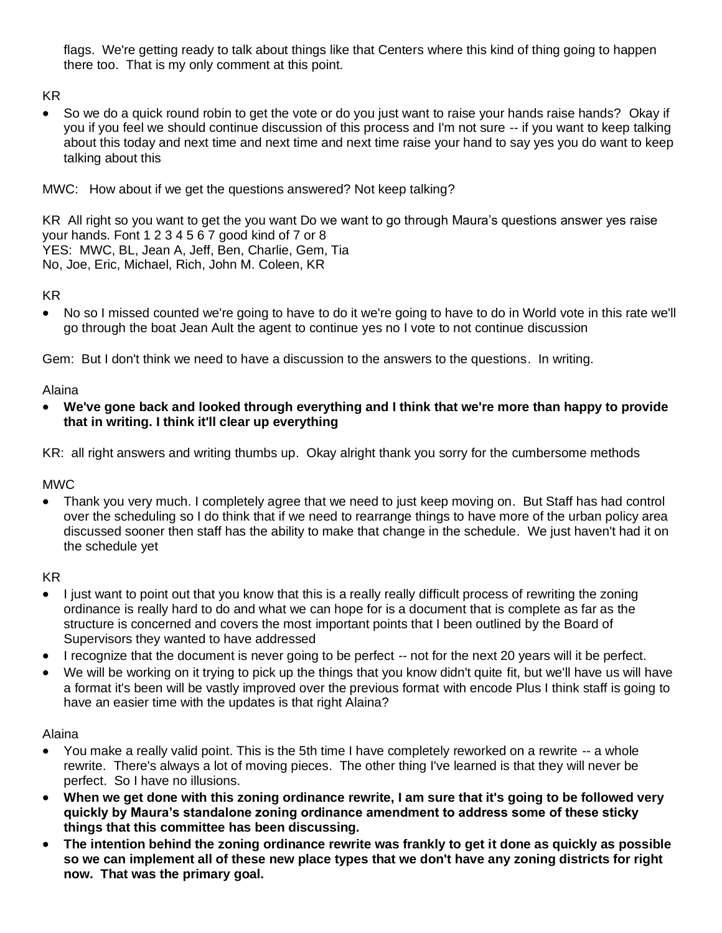flags. We're getting ready to talk about things like that Centers where this kind of thing going to happen there too. That is my only comment at this point.

KR

• So we do a quick round robin to get the vote or do you just want to raise your hands raise hands? Okay if you if you feel we should continue discussion of this process and I'm not sure -- if you want to keep talking about this today and next time and next time and next time raise your hand to say yes you do want to keep talking about this

MWC: How about if we get the questions answered? Not keep talking?

KR All right so you want to get the you want Do we want to go through Maura's questions answer yes raise your hands. Font 1 2 3 4 5 6 7 good kind of 7 or 8 YES: MWC, BL, Jean A, Jeff, Ben, Charlie, Gem, Tia No, Joe, Eric, Michael, Rich, John M. Coleen, KR

KR

• No so I missed counted we're going to have to do it we're going to have to do in World vote in this rate we'll go through the boat Jean Ault the agent to continue yes no I vote to not continue discussion

Gem: But I don't think we need to have a discussion to the answers to the questions. In writing.

Alaina

• **We've gone back and looked through everything and I think that we're more than happy to provide that in writing. I think it'll clear up everything**

KR: all right answers and writing thumbs up. Okay alright thank you sorry for the cumbersome methods

MWC

• Thank you very much. I completely agree that we need to just keep moving on. But Staff has had control over the scheduling so I do think that if we need to rearrange things to have more of the urban policy area discussed sooner then staff has the ability to make that change in the schedule. We just haven't had it on the schedule yet

KR

- I just want to point out that you know that this is a really really difficult process of rewriting the zoning ordinance is really hard to do and what we can hope for is a document that is complete as far as the structure is concerned and covers the most important points that I been outlined by the Board of Supervisors they wanted to have addressed
- I recognize that the document is never going to be perfect -- not for the next 20 years will it be perfect.
- We will be working on it trying to pick up the things that you know didn't quite fit, but we'll have us will have a format it's been will be vastly improved over the previous format with encode Plus I think staff is going to have an easier time with the updates is that right Alaina?

Alaina

- You make a really valid point. This is the 5th time I have completely reworked on a rewrite -- a whole rewrite. There's always a lot of moving pieces. The other thing I've learned is that they will never be perfect. So I have no illusions.
- **When we get done with this zoning ordinance rewrite, I am sure that it's going to be followed very quickly by Maura's standalone zoning ordinance amendment to address some of these sticky things that this committee has been discussing.**
- **The intention behind the zoning ordinance rewrite was frankly to get it done as quickly as possible so we can implement all of these new place types that we don't have any zoning districts for right now. That was the primary goal.**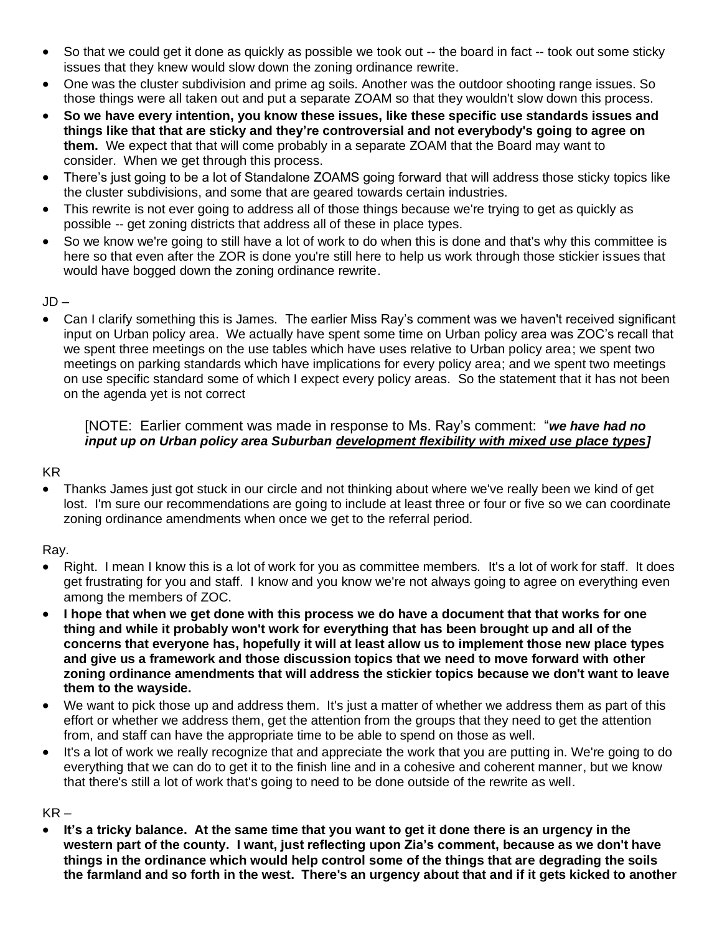- So that we could get it done as quickly as possible we took out -- the board in fact -- took out some sticky issues that they knew would slow down the zoning ordinance rewrite.
- One was the cluster subdivision and prime ag soils. Another was the outdoor shooting range issues. So those things were all taken out and put a separate ZOAM so that they wouldn't slow down this process.
- **So we have every intention, you know these issues, like these specific use standards issues and things like that that are sticky and they're controversial and not everybody's going to agree on them.** We expect that that will come probably in a separate ZOAM that the Board may want to consider. When we get through this process.
- There's just going to be a lot of Standalone ZOAMS going forward that will address those sticky topics like the cluster subdivisions, and some that are geared towards certain industries.
- This rewrite is not ever going to address all of those things because we're trying to get as quickly as possible -- get zoning districts that address all of these in place types.
- So we know we're going to still have a lot of work to do when this is done and that's why this committee is here so that even after the ZOR is done you're still here to help us work through those stickier issues that would have bogged down the zoning ordinance rewrite.

#### JD –

• Can I clarify something this is James. The earlier Miss Ray's comment was we haven't received significant input on Urban policy area. We actually have spent some time on Urban policy area was ZOC's recall that we spent three meetings on the use tables which have uses relative to Urban policy area; we spent two meetings on parking standards which have implications for every policy area; and we spent two meetings on use specific standard some of which I expect every policy areas. So the statement that it has not been on the agenda yet is not correct

#### [NOTE: Earlier comment was made in response to Ms. Ray's comment: "*we have had no input up on Urban policy area Suburban development flexibility with mixed use place types]*

#### KR

• Thanks James just got stuck in our circle and not thinking about where we've really been we kind of get lost. I'm sure our recommendations are going to include at least three or four or five so we can coordinate zoning ordinance amendments when once we get to the referral period.

#### Ray.

- Right. I mean I know this is a lot of work for you as committee members. It's a lot of work for staff. It does get frustrating for you and staff. I know and you know we're not always going to agree on everything even among the members of ZOC.
- **I hope that when we get done with this process we do have a document that that works for one thing and while it probably won't work for everything that has been brought up and all of the concerns that everyone has, hopefully it will at least allow us to implement those new place types and give us a framework and those discussion topics that we need to move forward with other zoning ordinance amendments that will address the stickier topics because we don't want to leave them to the wayside.**
- We want to pick those up and address them. It's just a matter of whether we address them as part of this effort or whether we address them, get the attention from the groups that they need to get the attention from, and staff can have the appropriate time to be able to spend on those as well.
- It's a lot of work we really recognize that and appreciate the work that you are putting in. We're going to do everything that we can do to get it to the finish line and in a cohesive and coherent manner, but we know that there's still a lot of work that's going to need to be done outside of the rewrite as well.

#### $KR -$

• **It's a tricky balance. At the same time that you want to get it done there is an urgency in the western part of the county. I want, just reflecting upon Zia's comment, because as we don't have things in the ordinance which would help control some of the things that are degrading the soils the farmland and so forth in the west. There's an urgency about that and if it gets kicked to another**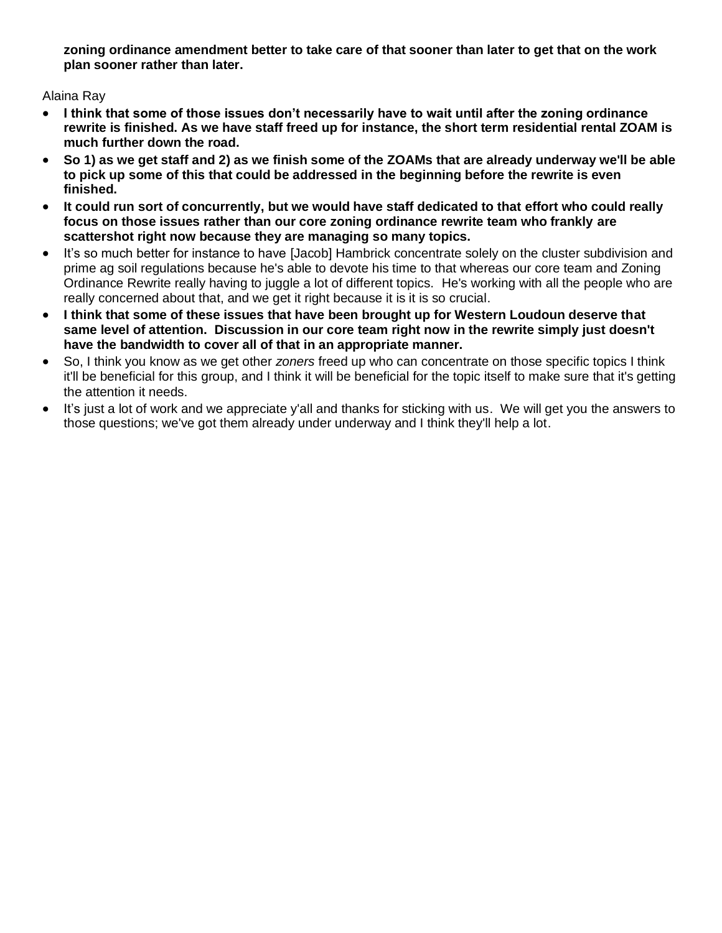**zoning ordinance amendment better to take care of that sooner than later to get that on the work plan sooner rather than later.**

Alaina Ray

- **I think that some of those issues don't necessarily have to wait until after the zoning ordinance rewrite is finished. As we have staff freed up for instance, the short term residential rental ZOAM is much further down the road.**
- **So 1) as we get staff and 2) as we finish some of the ZOAMs that are already underway we'll be able to pick up some of this that could be addressed in the beginning before the rewrite is even finished.**
- **It could run sort of concurrently, but we would have staff dedicated to that effort who could really focus on those issues rather than our core zoning ordinance rewrite team who frankly are scattershot right now because they are managing so many topics.**
- It's so much better for instance to have [Jacob] Hambrick concentrate solely on the cluster subdivision and prime ag soil regulations because he's able to devote his time to that whereas our core team and Zoning Ordinance Rewrite really having to juggle a lot of different topics. He's working with all the people who are really concerned about that, and we get it right because it is it is so crucial.
- **I think that some of these issues that have been brought up for Western Loudoun deserve that same level of attention. Discussion in our core team right now in the rewrite simply just doesn't have the bandwidth to cover all of that in an appropriate manner.**
- So, I think you know as we get other *zoners* freed up who can concentrate on those specific topics I think it'll be beneficial for this group, and I think it will be beneficial for the topic itself to make sure that it's getting the attention it needs.
- It's just a lot of work and we appreciate y'all and thanks for sticking with us. We will get you the answers to those questions; we've got them already under underway and I think they'll help a lot.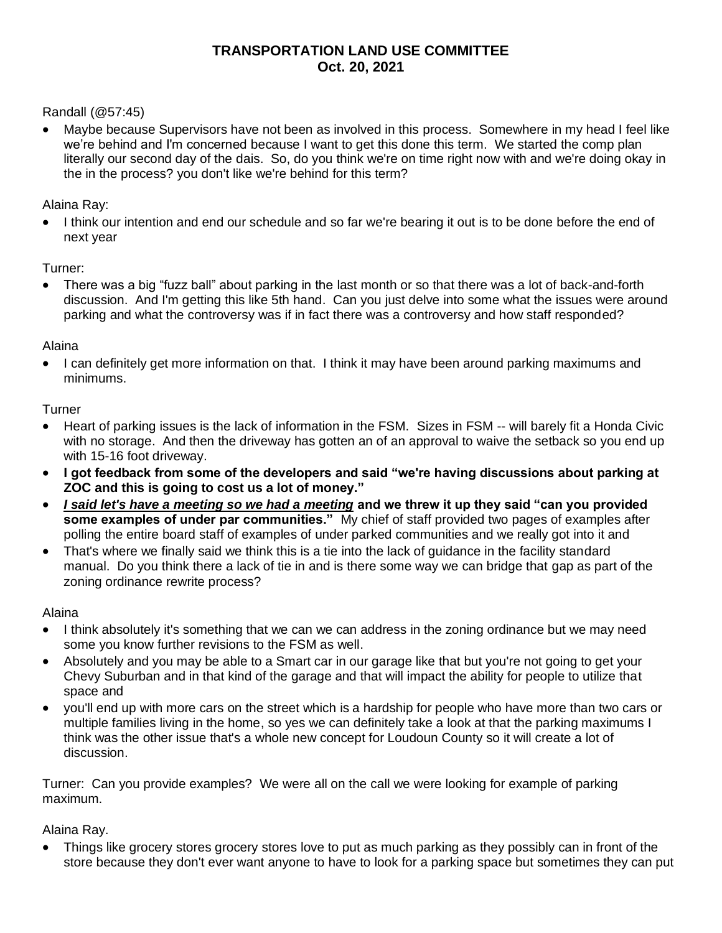### **TRANSPORTATION LAND USE COMMITTEE Oct. 20, 2021**

Randall (@57:45)

• Maybe because Supervisors have not been as involved in this process. Somewhere in my head I feel like we're behind and I'm concerned because I want to get this done this term. We started the comp plan literally our second day of the dais. So, do you think we're on time right now with and we're doing okay in the in the process? you don't like we're behind for this term?

Alaina Ray:

• I think our intention and end our schedule and so far we're bearing it out is to be done before the end of next year

Turner:

• There was a big "fuzz ball" about parking in the last month or so that there was a lot of back-and-forth discussion. And I'm getting this like 5th hand. Can you just delve into some what the issues were around parking and what the controversy was if in fact there was a controversy and how staff responded?

Alaina

• I can definitely get more information on that. I think it may have been around parking maximums and minimums.

**Turner** 

- Heart of parking issues is the lack of information in the FSM. Sizes in FSM -- will barely fit a Honda Civic with no storage. And then the driveway has gotten an of an approval to waive the setback so you end up with 15-16 foot driveway.
- **I got feedback from some of the developers and said "we're having discussions about parking at ZOC and this is going to cost us a lot of money."**
- *I said let's have a meeting so we had a meeting* **and we threw it up they said "can you provided some examples of under par communities."** My chief of staff provided two pages of examples after polling the entire board staff of examples of under parked communities and we really got into it and
- That's where we finally said we think this is a tie into the lack of guidance in the facility standard manual. Do you think there a lack of tie in and is there some way we can bridge that gap as part of the zoning ordinance rewrite process?

Alaina

- I think absolutely it's something that we can we can address in the zoning ordinance but we may need some you know further revisions to the FSM as well.
- Absolutely and you may be able to a Smart car in our garage like that but you're not going to get your Chevy Suburban and in that kind of the garage and that will impact the ability for people to utilize that space and
- you'll end up with more cars on the street which is a hardship for people who have more than two cars or multiple families living in the home, so yes we can definitely take a look at that the parking maximums I think was the other issue that's a whole new concept for Loudoun County so it will create a lot of discussion.

Turner: Can you provide examples? We were all on the call we were looking for example of parking maximum.

Alaina Ray.

• Things like grocery stores grocery stores love to put as much parking as they possibly can in front of the store because they don't ever want anyone to have to look for a parking space but sometimes they can put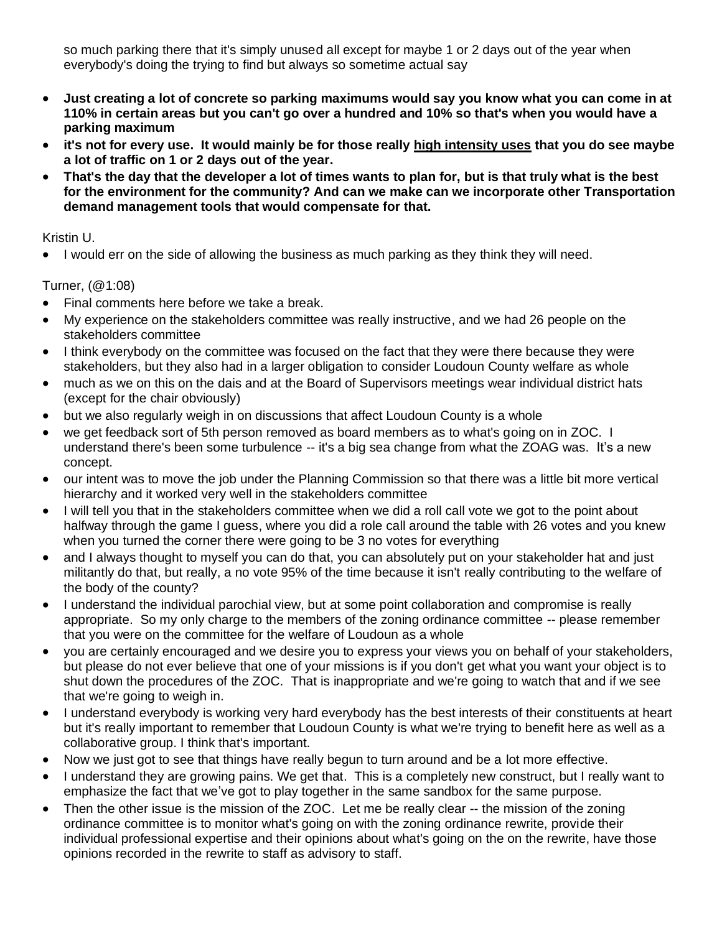so much parking there that it's simply unused all except for maybe 1 or 2 days out of the year when everybody's doing the trying to find but always so sometime actual say

- **Just creating a lot of concrete so parking maximums would say you know what you can come in at 110% in certain areas but you can't go over a hundred and 10% so that's when you would have a parking maximum**
- **it's not for every use. It would mainly be for those really high intensity uses that you do see maybe a lot of traffic on 1 or 2 days out of the year.**
- **That's the day that the developer a lot of times wants to plan for, but is that truly what is the best for the environment for the community? And can we make can we incorporate other Transportation demand management tools that would compensate for that.**

#### Kristin U.

• I would err on the side of allowing the business as much parking as they think they will need.

Turner, (@1:08)

- Final comments here before we take a break.
- My experience on the stakeholders committee was really instructive, and we had 26 people on the stakeholders committee
- I think everybody on the committee was focused on the fact that they were there because they were stakeholders, but they also had in a larger obligation to consider Loudoun County welfare as whole
- much as we on this on the dais and at the Board of Supervisors meetings wear individual district hats (except for the chair obviously)
- but we also regularly weigh in on discussions that affect Loudoun County is a whole
- we get feedback sort of 5th person removed as board members as to what's going on in ZOC. I understand there's been some turbulence -- it's a big sea change from what the ZOAG was. It's a new concept.
- our intent was to move the job under the Planning Commission so that there was a little bit more vertical hierarchy and it worked very well in the stakeholders committee
- I will tell you that in the stakeholders committee when we did a roll call vote we got to the point about halfway through the game I guess, where you did a role call around the table with 26 votes and you knew when you turned the corner there were going to be 3 no votes for everything
- and I always thought to myself you can do that, you can absolutely put on your stakeholder hat and just militantly do that, but really, a no vote 95% of the time because it isn't really contributing to the welfare of the body of the county?
- I understand the individual parochial view, but at some point collaboration and compromise is really appropriate. So my only charge to the members of the zoning ordinance committee -- please remember that you were on the committee for the welfare of Loudoun as a whole
- you are certainly encouraged and we desire you to express your views you on behalf of your stakeholders, but please do not ever believe that one of your missions is if you don't get what you want your object is to shut down the procedures of the ZOC. That is inappropriate and we're going to watch that and if we see that we're going to weigh in.
- I understand everybody is working very hard everybody has the best interests of their constituents at heart but it's really important to remember that Loudoun County is what we're trying to benefit here as well as a collaborative group. I think that's important.
- Now we just got to see that things have really begun to turn around and be a lot more effective.
- I understand they are growing pains. We get that. This is a completely new construct, but I really want to emphasize the fact that we've got to play together in the same sandbox for the same purpose.
- Then the other issue is the mission of the ZOC. Let me be really clear -- the mission of the zoning ordinance committee is to monitor what's going on with the zoning ordinance rewrite, provide their individual professional expertise and their opinions about what's going on the on the rewrite, have those opinions recorded in the rewrite to staff as advisory to staff.